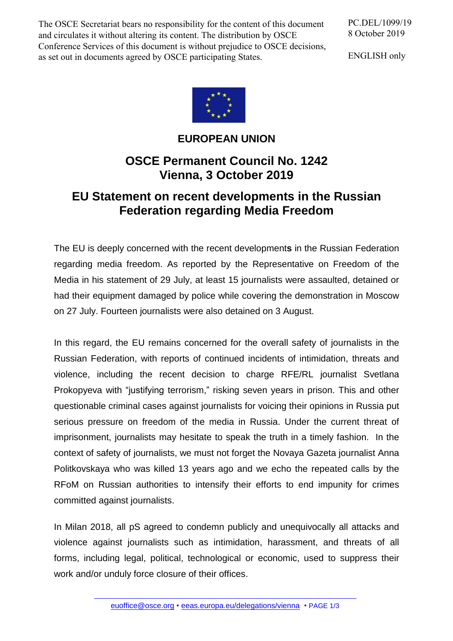The OSCE Secretariat bears no responsibility for the content of this document and circulates it without altering its content. The distribution by OSCE Conference Services of this document is without prejudice to OSCE decisions, as set out in documents agreed by OSCE participating States.

PC.DEL/1099/19 8 October 2019

ENGLISH only



## **EUROPEAN UNION**

## **OSCE Permanent Council No. 1242 Vienna, 3 October 2019**

## **EU Statement on recent developments in the Russian Federation regarding Media Freedom**

The EU is deeply concerned with the recent development**s** in the Russian Federation regarding media freedom. As reported by the Representative on Freedom of the Media in his statement of 29 July, at least 15 journalists were assaulted, detained or had their equipment damaged by police while covering the demonstration in Moscow on 27 July. Fourteen journalists were also detained on 3 August.

In this regard, the EU remains concerned for the overall safety of journalists in the Russian Federation, with reports of continued incidents of intimidation, threats and violence, including the recent decision to charge RFE/RL journalist Svetlana Prokopyeva with "justifying terrorism," risking seven years in prison. This and other questionable criminal cases against journalists for voicing their opinions in Russia put serious pressure on freedom of the media in Russia. Under the current threat of imprisonment, journalists may hesitate to speak the truth in a timely fashion. In the context of safety of journalists, we must not forget the Novaya Gazeta journalist Anna Politkovskaya who was killed 13 years ago and we echo the repeated calls by the RFoM on Russian authorities to intensify their efforts to end impunity for crimes committed against journalists.

In Milan 2018, all pS agreed to condemn publicly and unequivocally all attacks and violence against journalists such as intimidation, harassment, and threats of all forms, including legal, political, technological or economic, used to suppress their work and/or unduly force closure of their offices.

[euoffice@osce.org](mailto:euoffice@osce.org) • [eeas.europa.eu/delegations/vienna](http://eeas.europa.eu/delegations/vienna) • PAGE 1/3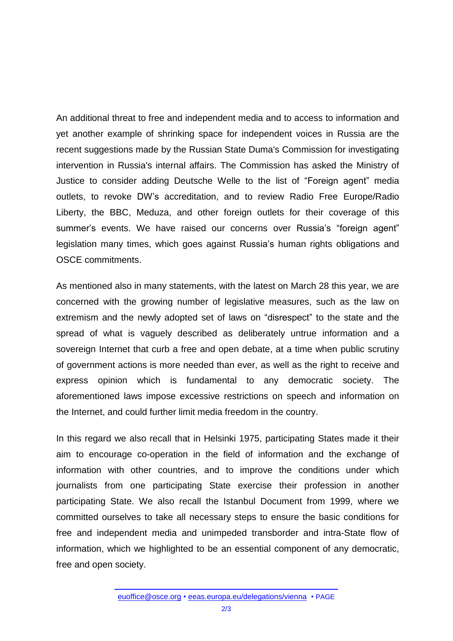An additional threat to free and independent media and to access to information and yet another example of shrinking space for independent voices in Russia are the recent suggestions made by the Russian State Duma's Commission for investigating intervention in Russia's internal affairs. The Commission has asked the Ministry of Justice to consider adding Deutsche Welle to the list of "Foreign agent" media outlets, to revoke DW's accreditation, and to review Radio Free Europe/Radio Liberty, the BBC, Meduza, and other foreign outlets for their coverage of this summer's events. We have raised our concerns over Russia's "foreign agent" legislation many times, which goes against Russia's human rights obligations and OSCE commitments.

As mentioned also in many statements, with the latest on March 28 this year, we are concerned with the growing number of legislative measures, such as the law on extremism and the newly adopted set of laws on "disrespect" to the state and the spread of what is vaguely described as deliberately untrue information and a sovereign Internet that curb a free and open debate, at a time when public scrutiny of government actions is more needed than ever, as well as the right to receive and express opinion which is fundamental to any democratic society. The aforementioned laws impose excessive restrictions on speech and information on the Internet, and could further limit media freedom in the country.

In this regard we also recall that in Helsinki 1975, participating States made it their aim to encourage co-operation in the field of information and the exchange of information with other countries, and to improve the conditions under which journalists from one participating State exercise their profession in another participating State. We also recall the Istanbul Document from 1999, where we committed ourselves to take all necessary steps to ensure the basic conditions for free and independent media and unimpeded transborder and intra-State flow of information, which we highlighted to be an essential component of any democratic, free and open society.